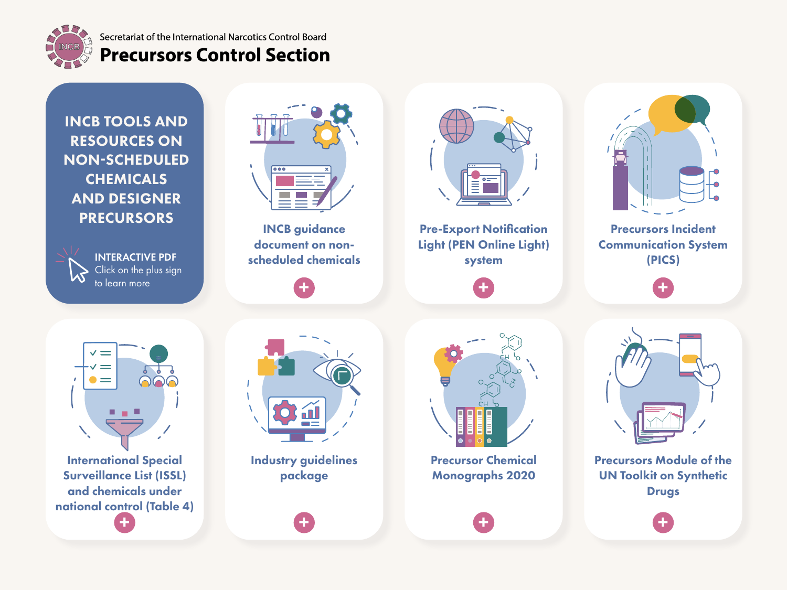<span id="page-0-0"></span>

# Secretariat of the International Narcotics Control Board **Precursors Control Section**

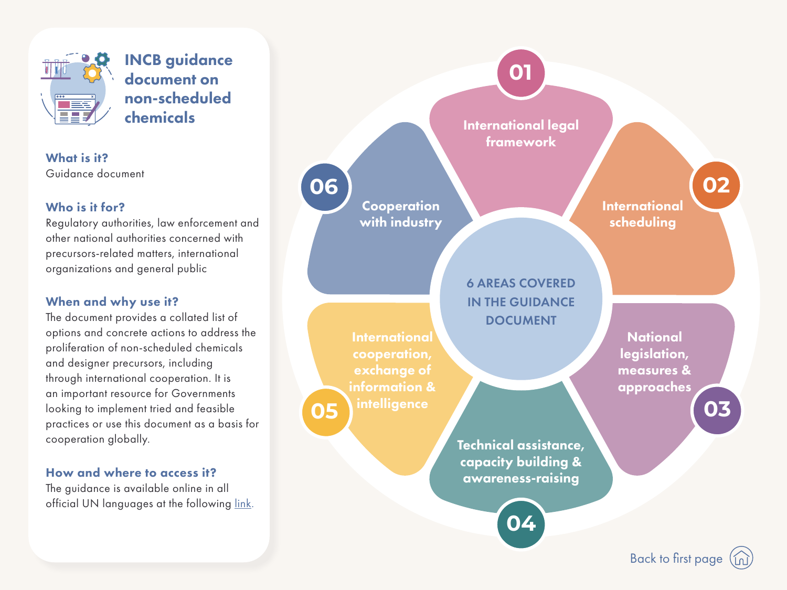<span id="page-1-0"></span>

INCB guidance document on non-scheduled chemicals

What is it? Guidance document

### Who is it for?

Regulatory authorities, law enforcement and other national authorities concerned with precursors-related matters, international organizations and general public

# When and why use it?

The document provides a collated list of options and concrete actions to address the proliferation of non-scheduled chemicals and designer precursors, including through international cooperation. It is an important resource for Governments looking to implement tried and feasible practices or use this document as a basis for cooperation globally.

#### How and where to access it?

The guidance is available online in all official UN languages at the following [link](https://www.incb.org/incb/en/precursors/Brochure/incb-guidance-document-options-non-scheduled-chemicals-designer-precursors.html).

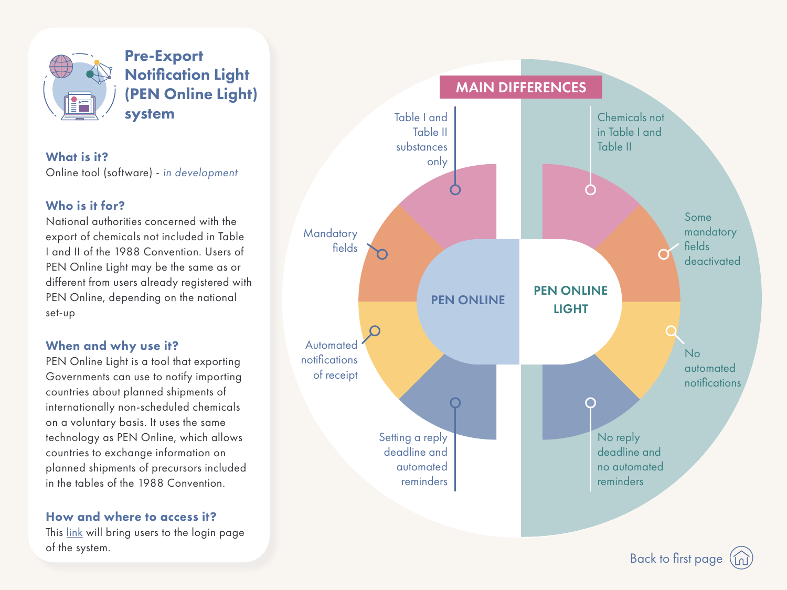<span id="page-2-0"></span>

Pre-Export Notification Light (PEN Online Light) system

What is it? Online tool (software) - in development

#### Who is it for?

National authorities concerned with the export of chemicals not included in Table I and II of the 1988 Convention. Users of PEN Online Light may be the same as or different from users already registered with PEN Online, depending on the national set-up

#### When and why use it?

PEN Online Light is a tool that exporting Governments can use to notify importing countries about planned shipments of internationally non-scheduled chemicals on a voluntary basis. It uses the same technology as PEN Online, which allows countries to exchange information on planned shipments of precursors included in the tables of the 1988 Convention.

#### How and where to access it?

This [link](https://pen.incb.org/) will bring users to the login page of the system.

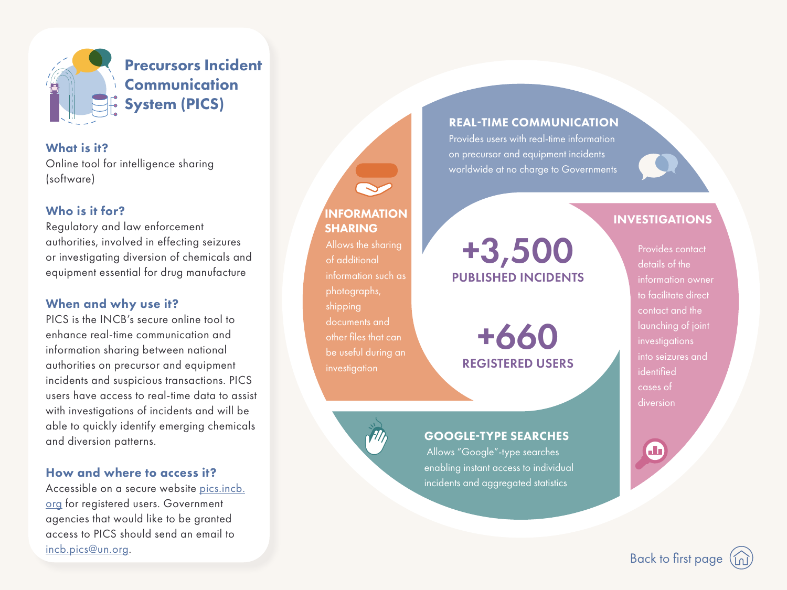<span id="page-3-0"></span>

What is it? Online tool for intelligence sharing (software)

#### Who is it for?

Regulatory and law enforcement authorities, involved in effecting seizures or investigating diversion of chemicals and equipment essential for drug manufacture

#### When and why use it?

PICS is the INCB's secure online tool to enhance real-time communication and information sharing between national authorities on precursor and equipment incidents and suspicious transactions. PICS users have access to real-time data to assist with investigations of incidents and will be able to quickly identify emerging chemicals and diversion patterns.

#### How and where to access it?

Accessible on a secure website [pics.incb.](http://pics.incb.org) [org](http://pics.incb.org) for registered users. Government agencies that would like to be granted access to PICS should send an email to [incb.pics@un.org.](mailto:incb.pics%40un.org?subject=)

#### REAL-TIME COMMUNICATION

Provides users with real-time information on precursor and equipment incidents worldwide at no charge to Governments

# INFORMATION THE SERVICE OF THE SERVICE OF THE SERVICE OF THE SERVICE OF THE SERVICE OF THE SERVICE OF THE SERVICE OF THE SERVICE OF THE SERVICE OF THE SERVICE OF THE SERVICE OF THE SERVICE OF THE SERVICE OF THE SERVICE OF

+3,500 PUBLISHED INCIDENTS

SHARING

of additional

photographs,

documents and

investigation

other files that can

be useful during an

shipping

Allows the sharing

information such as

+660 REGISTERED USERS

#### GOOGLE-TYPE SEARCHES

Allows "Google"-type searches enabling instant access to individual incidents and aggregated statistics

Provides contact details of the information owner to facilitate direct contact and the launching of joint investigations into seizures and identified cases of diversion

[Back to first page](#page-0-0)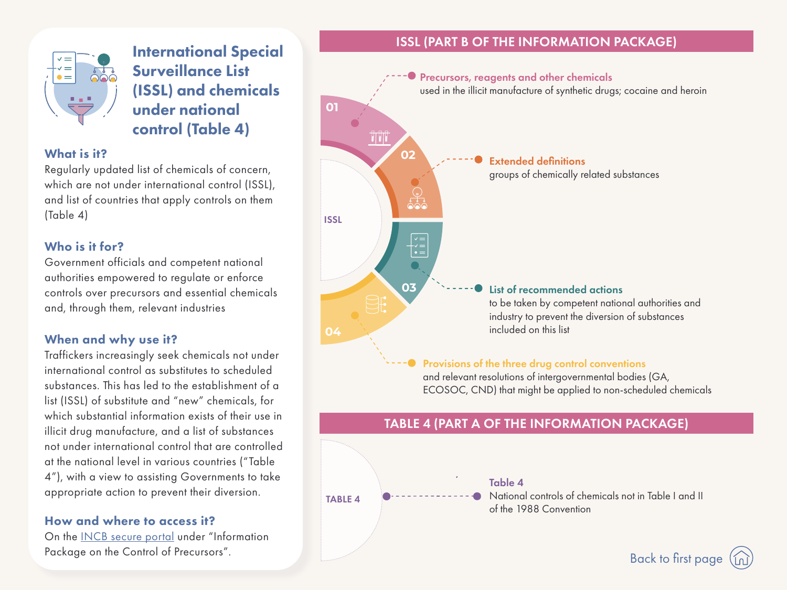<span id="page-4-0"></span>

# International Special Surveillance List (ISSL) and chemicals under national control (Table 4)

What is it?

Regularly updated list of chemicals of concern, which are not under international control (ISSL), and list of countries that apply controls on them (Table 4)

## Who is it for?

Government officials and competent national authorities empowered to regulate or enforce controls over precursors and essential chemicals and, through them, relevant industries

### When and why use it?

Traffickers increasingly seek chemicals not under international control as substitutes to scheduled substances. This has led to the establishment of a list (ISSL) of substitute and "new" chemicals, for which substantial information exists of their use in illicit drug manufacture, and a list of substances not under international control that are controlled at the national level in various countries ("Table 4"), with a view to assisting Governments to take appropriate action to prevent their diversion.

#### How and where to access it?

On the [INCB secure portal](https://www.incb.org/incb/en/precursors/cna.html) under "Information Package on the Control of Precursors".

## ISSL (PART B OF THE INFORMATION PACKAGE)

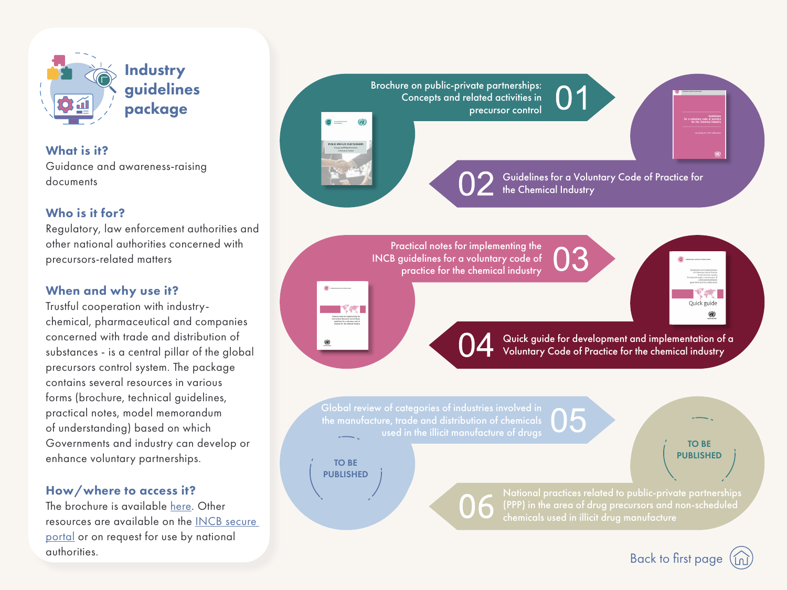<span id="page-5-0"></span>

**Industry** guidelines package

What is it? Guidance and awareness-raising documents

### Who is it for?

Regulatory, law enforcement authorities and other national authorities concerned with precursors-related matters

# When and why use it?

Trustful cooperation with industrychemical, pharmaceutical and companies concerned with trade and distribution of substances - is a central pillar of the global precursors control system. The package contains several resources in various forms (brochure, technical guidelines, practical notes, model memorandum of understanding) based on which Governments and industry can develop or enhance voluntary partnerships.

# How/where to access it?

The brochure is available [here](https://www.incb.org/documents/PRECURSORS/PROJECTS/PPP/Public-Private_Partnerships_Brochure.pdf). Other resources are available on the I[NCB secure](https://www.incb.org/incb/en/precursors/cna.html)  [portal](https://www.incb.org/incb/en/precursors/cna.html) or on request for use by national authorities.



[Back to first page](#page-0-0)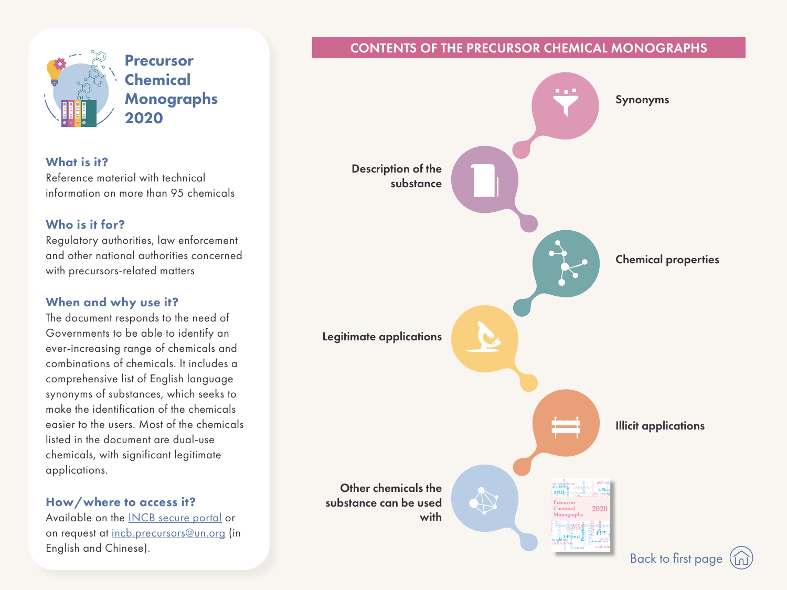<span id="page-6-0"></span>

Precursor **Chemical** Monographs 2020

#### What is it?

Reference material with technical information on more than 95 chemicals

### Who is it for?

Regulatory authorities, law enforcement and other national authorities concerned with precursors-related matters

# When and why use it?

The document responds to the need of Governments to be able to identify an ever-increasing range of chemicals and combinations of chemicals. It includes a comprehensive list of English language synonyms of substances, which seeks to make the identification of the chemicals easier to the users. Most of the chemicals listed in the document are dual-use chemicals, with significant legitimate applications.

# How/where to access it?

Available on the I[NCB secure portal](https://www.incb.org/incb/en/precursors/cna.html) or on request at [incb.precursors@un.org](mailto:incb.precursors%40un.org?subject=) (in English and Chinese).

# CONTENTS OF THE PRECURSOR CHEMICAL MONOGRAPHS



[Back to first page](#page-0-0)